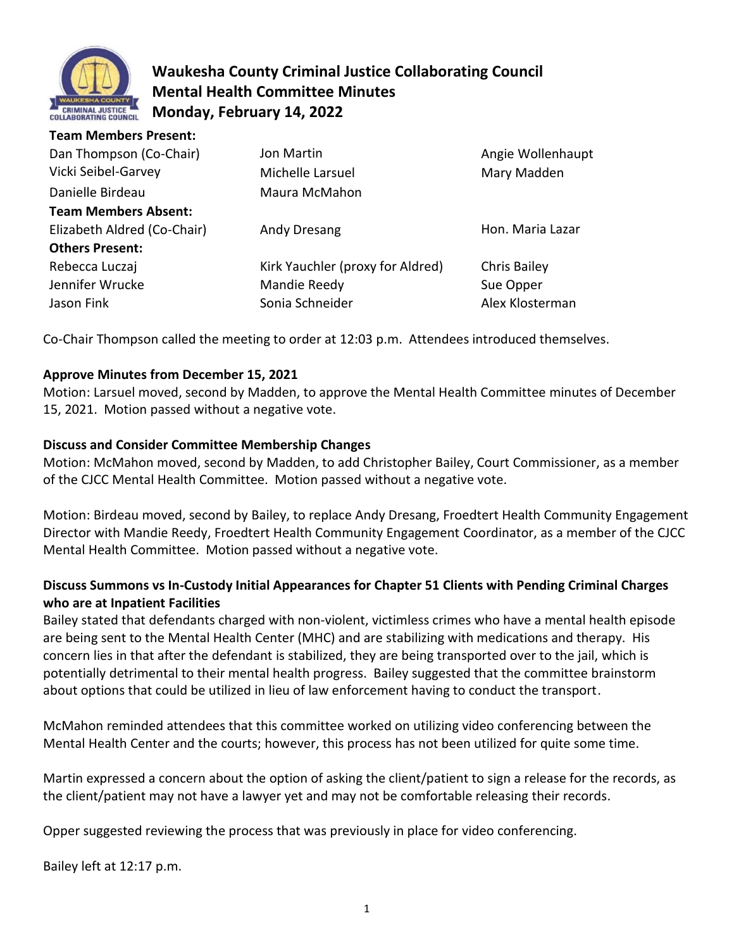

# **Waukesha County Criminal Justice Collaborating Council Mental Health Committee Minutes Monday, February 14, 2022**

| <b>Team Members Present:</b> |                                  |                   |
|------------------------------|----------------------------------|-------------------|
| Dan Thompson (Co-Chair)      | Jon Martin                       | Angie Wollenhaupt |
| Vicki Seibel-Garvey          | Michelle Larsuel                 | Mary Madden       |
| Danielle Birdeau             | Maura McMahon                    |                   |
| <b>Team Members Absent:</b>  |                                  |                   |
| Elizabeth Aldred (Co-Chair)  | Andy Dresang                     | Hon. Maria Lazar  |
| <b>Others Present:</b>       |                                  |                   |
| Rebecca Luczaj               | Kirk Yauchler (proxy for Aldred) | Chris Bailey      |
| Jennifer Wrucke              | Mandie Reedy                     | Sue Opper         |
| Jason Fink                   | Sonia Schneider                  | Alex Klosterman   |

Co-Chair Thompson called the meeting to order at 12:03 p.m. Attendees introduced themselves.

### **Approve Minutes from December 15, 2021**

Motion: Larsuel moved, second by Madden, to approve the Mental Health Committee minutes of December 15, 2021. Motion passed without a negative vote.

### **Discuss and Consider Committee Membership Changes**

Motion: McMahon moved, second by Madden, to add Christopher Bailey, Court Commissioner, as a member of the CJCC Mental Health Committee. Motion passed without a negative vote.

Motion: Birdeau moved, second by Bailey, to replace Andy Dresang, Froedtert Health Community Engagement Director with Mandie Reedy, Froedtert Health Community Engagement Coordinator, as a member of the CJCC Mental Health Committee. Motion passed without a negative vote.

## **Discuss Summons vs In-Custody Initial Appearances for Chapter 51 Clients with Pending Criminal Charges who are at Inpatient Facilities**

Bailey stated that defendants charged with non-violent, victimless crimes who have a mental health episode are being sent to the Mental Health Center (MHC) and are stabilizing with medications and therapy. His concern lies in that after the defendant is stabilized, they are being transported over to the jail, which is potentially detrimental to their mental health progress. Bailey suggested that the committee brainstorm about options that could be utilized in lieu of law enforcement having to conduct the transport.

McMahon reminded attendees that this committee worked on utilizing video conferencing between the Mental Health Center and the courts; however, this process has not been utilized for quite some time.

Martin expressed a concern about the option of asking the client/patient to sign a release for the records, as the client/patient may not have a lawyer yet and may not be comfortable releasing their records.

Opper suggested reviewing the process that was previously in place for video conferencing.

Bailey left at 12:17 p.m.